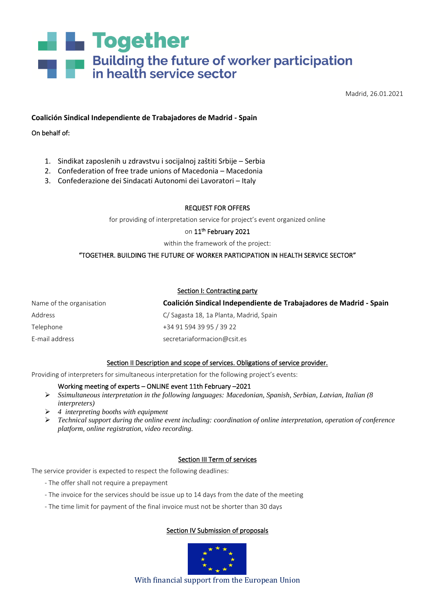# **Ref** Together **Example 1 Building the future of worker participation**<br> **Example 1 in health service sector**

Madrid, 26.01.2021

## **Coalición Sindical Independiente de Trabajadores de Madrid - Spain**

On behalf of:

- 1. Sindikat zaposlenih u zdravstvu i socijalnoj zaštiti Srbije Serbia
- 2. Confederation of free trade unions of Macedonia Macedonia
- 3. Confederazione dei Sindacati Autonomi dei Lavoratori Italy

#### REQUEST FOR OFFERS

for providing of interpretation service for project's event organized online

#### on  $11^{\text{th}}$  February 2021

within the framework of the project:

# "TOGETHER. BUILDING THE FUTURE OF WORKER PARTICIPATION IN HEALTH SERVICE SECTOR"

#### Section I: Contracting party

| Name of the organisation | Coalición Sindical Independiente de Trabajadores de Madrid - Spain |
|--------------------------|--------------------------------------------------------------------|
| Address                  | C/ Sagasta 18, 1a Planta, Madrid, Spain                            |
| Telephone                | +34 91 594 39 95 / 39 22                                           |
| E-mail address           | secretariaformacion@csit.es                                        |

#### Section II Description and scope of services. Obligations of service provider.

Providing of interpreters for simultaneous interpretation for the following project's events:

#### Working meeting of experts – ONLINE event 11th February –2021

- ➢ *Ssimultaneous interpretation in the following languages: Macedonian, Spanish, Serbian, Latvian, Italian (8 interpreters)*
- ➢ *4 interpreting booths with equipment*
- ➢ *Technical support during the online event including: coordination of online interpretation, operation of conference platform, online registration, video recording.*

# Section III Term of services

The service provider is expected to respect the following deadlines:

- The offer shall not require a prepayment
- The invoice for the services should be issue up to 14 days from the date of the meeting
- The time limit for payment of the final invoice must not be shorter than 30 days

# Section IV Submission of proposals



With financial support from the European Union